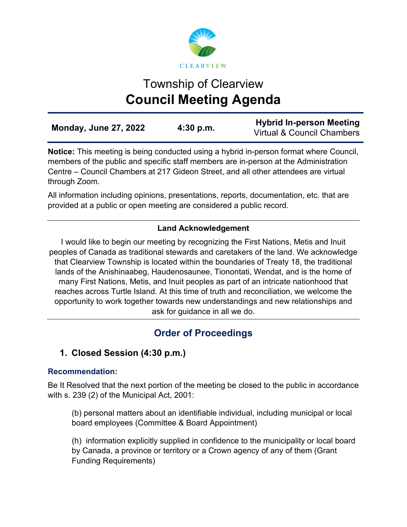

# Township of Clearview **Council Meeting Agenda**

| <b>Monday, June 27, 2022</b> | $4:30$ p.m. | <b>Hybrid In-person Meeting</b> |
|------------------------------|-------------|---------------------------------|
|                              |             | Virtual & Council Chambers      |

**Notice:** This meeting is being conducted using a hybrid in-person format where Council, members of the public and specific staff members are in-person at the Administration Centre – Council Chambers at 217 Gideon Street, and all other attendees are virtual through Zoom.

All information including opinions, presentations, reports, documentation, etc. that are provided at a public or open meeting are considered a public record.

## **Land Acknowledgement**

I would like to begin our meeting by recognizing the First Nations, Metis and Inuit peoples of Canada as traditional stewards and caretakers of the land. We acknowledge that Clearview Township is located within the boundaries of Treaty 18, the traditional lands of the Anishinaabeg, Haudenosaunee, Tionontati, Wendat, and is the home of many First Nations, Metis, and Inuit peoples as part of an intricate nationhood that reaches across Turtle Island. At this time of truth and reconciliation, we welcome the opportunity to work together towards new understandings and new relationships and ask for guidance in all we do.

## **Order of Proceedings**

## **1. Closed Session (4:30 p.m.)**

## **Recommendation:**

Be It Resolved that the next portion of the meeting be closed to the public in accordance with s. 239 (2) of the Municipal Act, 2001:

(b) personal matters about an identifiable individual, including municipal or local board employees (Committee & Board Appointment)

(h) information explicitly supplied in confidence to the municipality or local board by Canada, a province or territory or a Crown agency of any of them (Grant Funding Requirements)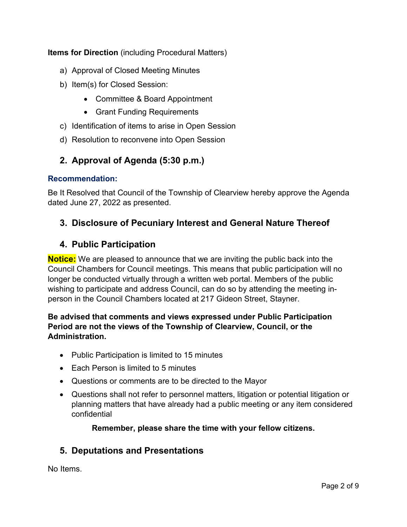**Items for Direction** (including Procedural Matters)

- a) Approval of Closed Meeting Minutes
- b) Item(s) for Closed Session:
	- Committee & Board Appointment
	- Grant Funding Requirements
- c) Identification of items to arise in Open Session
- d) Resolution to reconvene into Open Session

## **2. Approval of Agenda (5:30 p.m.)**

#### **Recommendation:**

Be It Resolved that Council of the Township of Clearview hereby approve the Agenda dated June 27, 2022 as presented.

## **3. Disclosure of Pecuniary Interest and General Nature Thereof**

## **4. Public Participation**

**Notice:** We are pleased to announce that we are inviting the public back into the Council Chambers for Council meetings. This means that public participation will no longer be conducted virtually through a written web portal. Members of the public wishing to participate and address Council, can do so by attending the meeting inperson in the Council Chambers located at 217 Gideon Street, Stayner.

#### **Be advised that comments and views expressed under Public Participation Period are not the views of the Township of Clearview, Council, or the Administration.**

- Public Participation is limited to 15 minutes
- Each Person is limited to 5 minutes
- Questions or comments are to be directed to the Mayor
- Questions shall not refer to personnel matters, litigation or potential litigation or planning matters that have already had a public meeting or any item considered confidential

#### **Remember, please share the time with your fellow citizens.**

#### **5. Deputations and Presentations**

No Items.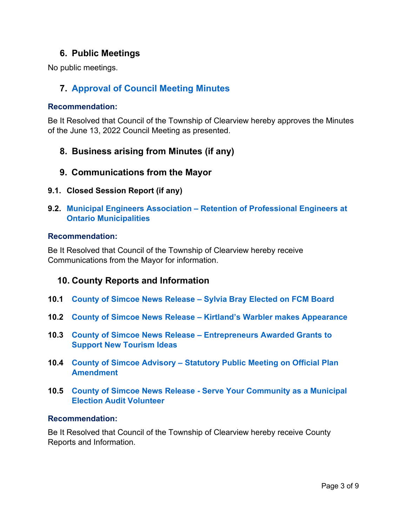## **6. Public Meetings**

No public meetings.

## **7. [Approval of Council Meeting Minutes](https://www.clearview.ca/sites/default/files/uploads/publications/2022-06-13_council_meeting_minutes_0.pdf)**

#### **Recommendation:**

Be It Resolved that Council of the Township of Clearview hereby approves the Minutes of the June 13, 2022 Council Meeting as presented.

- **8. Business arising from Minutes (if any)**
- **9. Communications from the Mayor**
- **9.1. Closed Session Report (if any)**
- **9.2. Municipal Engineers Association – [Retention of Professional Engineers at](https://www.clearview.ca/sites/default/files/uploads/publications/9.2_municipal_engineers_association_-_retention_of_professional_engineers_at_ontario_municipalities.pdf)  [Ontario Municipalities](https://www.clearview.ca/sites/default/files/uploads/publications/9.2_municipal_engineers_association_-_retention_of_professional_engineers_at_ontario_municipalities.pdf)**

#### **Recommendation:**

Be It Resolved that Council of the Township of Clearview hereby receive Communications from the Mayor for information.

## **10. County Reports and Information**

- **10.1 County of Simcoe News Release – [Sylvia Bray Elected on FCM Board](https://www.clearview.ca/sites/default/files/uploads/publications/10.1_county_of_simcoe_news_release_-_sylvia_bray_elected_on_fcm_board.pdf)**
- **10.2 County of Simcoe News Release – [Kirtland's Warbler makes Appearance](https://www.clearview.ca/sites/default/files/uploads/publications/10.2_county_of_simcoe_news_release_-_kirtlands_warbler_makes_appearance.pdf)**
- **10.3 County of Simcoe News Release – [Entrepreneurs Awarded Grants to](https://www.clearview.ca/sites/default/files/uploads/publications/10.3_county_of_simcoe_news_release_-_entrepreneurs_awarded_grants_to_support_new_tourism_ideas.pdf)  [Support New Tourism Ideas](https://www.clearview.ca/sites/default/files/uploads/publications/10.3_county_of_simcoe_news_release_-_entrepreneurs_awarded_grants_to_support_new_tourism_ideas.pdf)**
- **10.4 County of Simcoe Advisory – [Statutory Public Meeting on Official Plan](https://www.clearview.ca/sites/default/files/uploads/publications/10.4_county_of_simcoe_advisory_-_statutory_public_meeting_on_official_plan_amendment.pdf)  [Amendment](https://www.clearview.ca/sites/default/files/uploads/publications/10.4_county_of_simcoe_advisory_-_statutory_public_meeting_on_official_plan_amendment.pdf)**
- **10.5 County of Simcoe News Release - [Serve Your Community as a Municipal](https://www.clearview.ca/sites/default/files/uploads/publications/10.5_county_of_simcoe_news_release_-_serve_your_community_as_a_municipal_election_audit_volunteer.pdf)  [Election Audit Volunteer](https://www.clearview.ca/sites/default/files/uploads/publications/10.5_county_of_simcoe_news_release_-_serve_your_community_as_a_municipal_election_audit_volunteer.pdf)**

#### **Recommendation:**

Be It Resolved that Council of the Township of Clearview hereby receive County Reports and Information.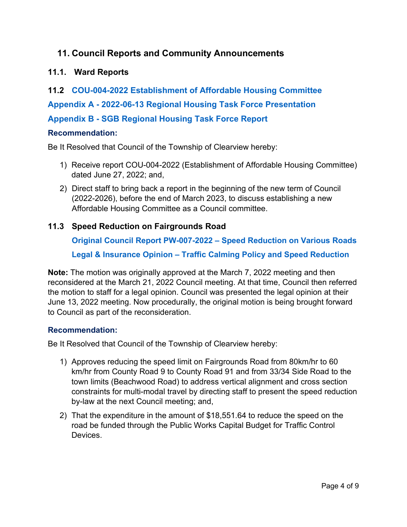## **11. Council Reports and Community Announcements**

### **11.1. Ward Reports**

**11.2 [COU-004-2022 Establishment of Affordable Housing Committee](https://www.clearview.ca/sites/default/files/uploads/publications/11.2_cou-004-2022_establishment_of_affordable_housing_committee.pdf) Appendix A - [2022-06-13 Regional Housing Task Force Presentation](https://www.clearview.ca/sites/default/files/uploads/publications/appendix_a_-_2022-06-13_regional_housing_task_force_presentation.pdf) Appendix B - [SGB Regional Housing Task Force Report](https://www.clearview.ca/sites/default/files/uploads/publications/appendix_b_-_sgb_regional_housing_task_force_report.pdf)**

#### **Recommendation:**

Be It Resolved that Council of the Township of Clearview hereby:

- 1) Receive report COU-004-2022 (Establishment of Affordable Housing Committee) dated June 27, 2022; and,
- 2) Direct staff to bring back a report in the beginning of the new term of Council (2022-2026), before the end of March 2023, to discuss establishing a new Affordable Housing Committee as a Council committee.

## **11.3 Speed Reduction on Fairgrounds Road**

**[Original Council Report PW-007-2022 –](https://www.clearview.ca/sites/default/files/uploads/publications/pw-007-2022_speed_reduction_of_various_roads.pdf) Speed Reduction on Various Roads Legal & Insurance Opinion – [Traffic Calming Policy and Speed Reduction](https://www.clearview.ca/sites/default/files/uploads/publications/11.2_traffic_calming_policy_speed_reduction_opinion.pdf)**

**Note:** The motion was originally approved at the March 7, 2022 meeting and then reconsidered at the March 21, 2022 Council meeting. At that time, Council then referred the motion to staff for a legal opinion. Council was presented the legal opinion at their June 13, 2022 meeting. Now procedurally, the original motion is being brought forward to Council as part of the reconsideration.

#### **Recommendation:**

Be It Resolved that Council of the Township of Clearview hereby:

- 1) Approves reducing the speed limit on Fairgrounds Road from 80km/hr to 60 km/hr from County Road 9 to County Road 91 and from 33/34 Side Road to the town limits (Beachwood Road) to address vertical alignment and cross section constraints for multi-modal travel by directing staff to present the speed reduction by-law at the next Council meeting; and,
- 2) That the expenditure in the amount of \$18,551.64 to reduce the speed on the road be funded through the Public Works Capital Budget for Traffic Control **Devices**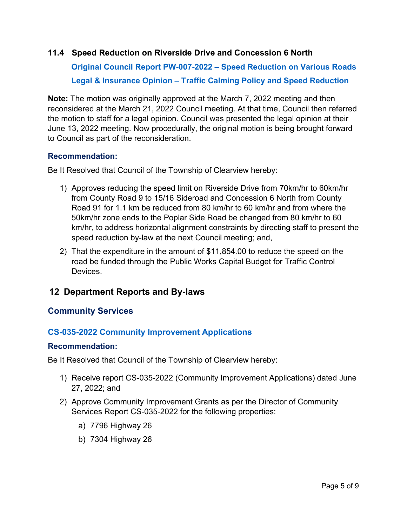#### **11.4 Speed Reduction on Riverside Drive and Concession 6 North**

**[Original Council Report PW-007-2022 – Speed Reduction on Various Roads](https://www.clearview.ca/sites/default/files/uploads/publications/pw-007-2022_speed_reduction_of_various_roads.pdf) [Legal & Insurance Opinion – Traffic Calming Policy and Speed Reduction](https://www.clearview.ca/sites/default/files/uploads/publications/11.2_traffic_calming_policy_speed_reduction_opinion.pdf)**

**Note:** The motion was originally approved at the March 7, 2022 meeting and then reconsidered at the March 21, 2022 Council meeting. At that time, Council then referred the motion to staff for a legal opinion. Council was presented the legal opinion at their June 13, 2022 meeting. Now procedurally, the original motion is being brought forward to Council as part of the reconsideration.

#### **Recommendation:**

Be It Resolved that Council of the Township of Clearview hereby:

- 1) Approves reducing the speed limit on Riverside Drive from 70km/hr to 60km/hr from County Road 9 to 15/16 Sideroad and Concession 6 North from County Road 91 for 1.1 km be reduced from 80 km/hr to 60 km/hr and from where the 50km/hr zone ends to the Poplar Side Road be changed from 80 km/hr to 60 km/hr, to address horizontal alignment constraints by directing staff to present the speed reduction by-law at the next Council meeting; and,
- 2) That the expenditure in the amount of \$11,854.00 to reduce the speed on the road be funded through the Public Works Capital Budget for Traffic Control **Devices**

## **12 Department Reports and By-laws**

#### **Community Services**

#### **[CS-035-2022 Community Improvement Applications](https://www.clearview.ca/sites/default/files/uploads/publications/cs-035-2022_-_cip_applications_7296_h26_and_7304_h26_1.pdf)**

#### **Recommendation:**

Be It Resolved that Council of the Township of Clearview hereby:

- 1) Receive report CS-035-2022 (Community Improvement Applications) dated June 27, 2022; and
- 2) Approve Community Improvement Grants as per the Director of Community Services Report CS-035-2022 for the following properties:
	- a) 7796 Highway 26
	- b) 7304 Highway 26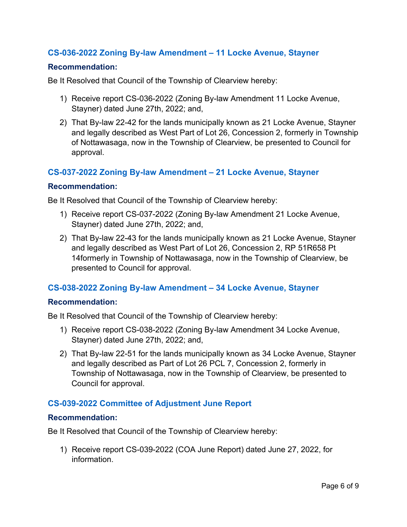#### **[CS-036-2022 Zoning By-law Amendment –](https://www.clearview.ca/sites/default/files/uploads/publications/cs-036-2022_-_zoning_by-law_11_locke.pdf) 11 Locke Avenue, Stayner**

#### **Recommendation:**

Be It Resolved that Council of the Township of Clearview hereby:

- 1) Receive report CS-036-2022 (Zoning By-law Amendment 11 Locke Avenue, Stayner) dated June 27th, 2022; and,
- 2) That By-law 22-42 for the lands municipally known as 21 Locke Avenue, Stayner and legally described as West Part of Lot 26, Concession 2, formerly in Township of Nottawasaga, now in the Township of Clearview, be presented to Council for approval.

#### **[CS-037-2022 Zoning By-law Amendment –](https://www.clearview.ca/sites/default/files/uploads/publications/cs-037-2022_-_zoning_by-law_21_locke.pdf) 21 Locke Avenue, Stayner**

#### **Recommendation:**

Be It Resolved that Council of the Township of Clearview hereby:

- 1) Receive report CS-037-2022 (Zoning By-law Amendment 21 Locke Avenue, Stayner) dated June 27th, 2022; and,
- 2) That By-law 22-43 for the lands municipally known as 21 Locke Avenue, Stayner and legally described as West Part of Lot 26, Concession 2, RP 51R658 Pt 14formerly in Township of Nottawasaga, now in the Township of Clearview, be presented to Council for approval.

#### **[CS-038-2022 Zoning By-law Amendment –](https://www.clearview.ca/sites/default/files/uploads/publications/cs-038-2022_-zoning_by-law_34_locke.pdf) 34 Locke Avenue, Stayner**

#### **Recommendation:**

Be It Resolved that Council of the Township of Clearview hereby:

- 1) Receive report CS-038-2022 (Zoning By-law Amendment 34 Locke Avenue, Stayner) dated June 27th, 2022; and,
- 2) That By-law 22-51 for the lands municipally known as 34 Locke Avenue, Stayner and legally described as Part of Lot 26 PCL 7, Concession 2, formerly in Township of Nottawasaga, now in the Township of Clearview, be presented to Council for approval.

#### **[CS-039-2022 Committee of Adjustment June Report](https://www.clearview.ca/sites/default/files/uploads/publications/cs-039-2022_june_2022_coa_report.pdf)**

#### **Recommendation:**

Be It Resolved that Council of the Township of Clearview hereby:

1) Receive report CS-039-2022 (COA June Report) dated June 27, 2022, for information.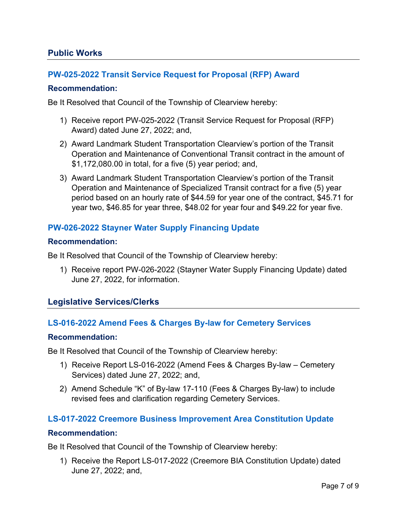#### **Public Works**

#### **[PW-025-2022 Transit Service Request for Proposal \(RFP\) Award](https://www.clearview.ca/sites/default/files/uploads/publications/pw-025-2022_transit_service_rfp_award.pdf)**

#### **Recommendation:**

Be It Resolved that Council of the Township of Clearview hereby:

- 1) Receive report PW-025-2022 (Transit Service Request for Proposal (RFP) Award) dated June 27, 2022; and,
- 2) Award Landmark Student Transportation Clearview's portion of the Transit Operation and Maintenance of Conventional Transit contract in the amount of \$1,172,080.00 in total, for a five (5) year period; and,
- 3) Award Landmark Student Transportation Clearview's portion of the Transit Operation and Maintenance of Specialized Transit contract for a five (5) year period based on an hourly rate of \$44.59 for year one of the contract, \$45.71 for year two, \$46.85 for year three, \$48.02 for year four and \$49.22 for year five.

#### **[PW-026-2022 Stayner Water Supply Financing Update](https://www.clearview.ca/sites/default/files/uploads/publications/pw-026-2022_stayner_water_supply_financing_update.pdf)**

#### **Recommendation:**

Be It Resolved that Council of the Township of Clearview hereby:

1) Receive report PW-026-2022 (Stayner Water Supply Financing Update) dated June 27, 2022, for information.

#### **Legislative Services/Clerks**

#### **[LS-016-2022 Amend Fees & Charges By-law for Cemetery Services](https://www.clearview.ca/sites/default/files/uploads/publications/ls-016-2022_amend_fees_charges_by-law_cemetery_services.pdf)**

#### **Recommendation:**

Be It Resolved that Council of the Township of Clearview hereby:

- 1) Receive Report LS-016-2022 (Amend Fees & Charges By-law Cemetery Services) dated June 27, 2022; and,
- 2) Amend Schedule "K" of By-law 17-110 (Fees & Charges By-law) to include revised fees and clarification regarding Cemetery Services.

#### **[LS-017-2022 Creemore Business Improvement Area Constitution Update](https://www.clearview.ca/sites/default/files/uploads/publications/ls-017-2022_creemore_bia_constitution_update_0.pdf)**

#### **Recommendation:**

Be It Resolved that Council of the Township of Clearview hereby:

1) Receive the Report LS-017-2022 (Creemore BIA Constitution Update) dated June 27, 2022; and,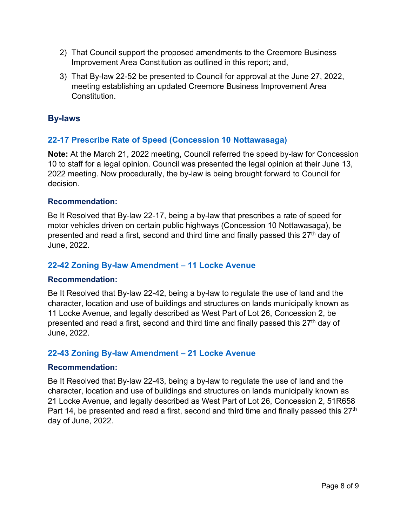- 2) That Council support the proposed amendments to the Creemore Business Improvement Area Constitution as outlined in this report; and,
- 3) That By-law 22-52 be presented to Council for approval at the June 27, 2022, meeting establishing an updated Creemore Business Improvement Area Constitution.

### **By-laws**

## **[22-17 Prescribe Rate of Speed \(Concession 10 Nottawasaga\)](https://www.clearview.ca/sites/default/files/uploads/publications/22-17_prescribe_rate_of_speed_concession_10_nottawasaga_0.pdf)**

**Note:** At the March 21, 2022 meeting, Council referred the speed by-law for Concession 10 to staff for a legal opinion. Council was presented the legal opinion at their June 13, 2022 meeting. Now procedurally, the by-law is being brought forward to Council for decision.

#### **Recommendation:**

Be It Resolved that By-law 22-17, being a by-law that prescribes a rate of speed for motor vehicles driven on certain public highways (Concession 10 Nottawasaga), be presented and read a first, second and third time and finally passed this 27<sup>th</sup> day of June, 2022.

#### **[22-42 Zoning By-law Amendment – 11 Locke Avenue](https://www.clearview.ca/sites/default/files/uploads/publications/22-42_zba_11_locke_avenue.pdf)**

#### **Recommendation:**

Be It Resolved that By-law 22-42, being a by-law to regulate the use of land and the character, location and use of buildings and structures on lands municipally known as 11 Locke Avenue, and legally described as West Part of Lot 26, Concession 2, be presented and read a first, second and third time and finally passed this 27<sup>th</sup> day of June, 2022.

#### **[22-43 Zoning By-law Amendment – 21 Locke Avenue](https://www.clearview.ca/sites/default/files/uploads/publications/22-43_zba_21_locke_avenue.pdf)**

#### **Recommendation:**

Be It Resolved that By-law 22-43, being a by-law to regulate the use of land and the character, location and use of buildings and structures on lands municipally known as 21 Locke Avenue, and legally described as West Part of Lot 26, Concession 2, 51R658 Part 14, be presented and read a first, second and third time and finally passed this  $27<sup>th</sup>$ day of June, 2022.